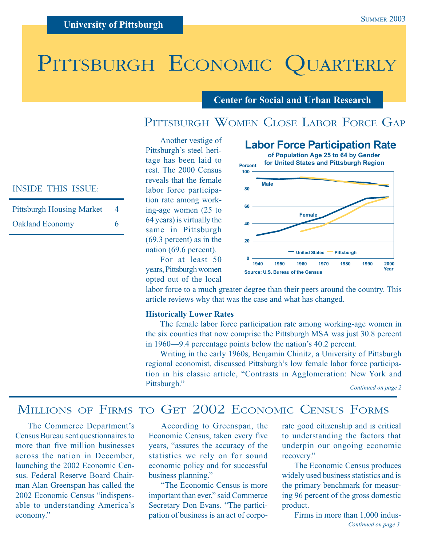# PITTSBURGH ECONOMIC QUARTERLY

#### **Center for Social and Urban Research**

## PITTSBURGH WOMEN CLOSE LABOR FORCE GAP

Another vestige of Pittsburgh's steel heritage has been laid to rest. The 2000 Census reveals that the female labor force participation rate among working-age women (25 to 64 years) is virtually the same in Pittsburgh (69.3 percent) as in the nation (69.6 percent).

**1940 1950 1960 1970 1980 1990 2000 0 20 40 60 80 100 United States Pittsburgh Labor Force Participation Rate of Population Age 25 to 64 by Gender for United States and Pittsburgh Region Male Female Percent Year Source: U.S. Bureau of the Census**

INSIDE THIS ISSUE:

| <b>Pittsburgh Housing Market</b> | 4 |
|----------------------------------|---|
| <b>Oakland Economy</b>           | 6 |

For at least 50 years, Pittsburgh women opted out of the local

labor force to a much greater degree than their peers around the country. This article reviews why that was the case and what has changed.

#### **Historically Lower Rates**

The female labor force participation rate among working-age women in the six counties that now comprise the Pittsburgh MSA was just 30.8 percent in 1960—9.4 percentage points below the nation's 40.2 percent.

Writing in the early 1960s, Benjamin Chinitz, a University of Pittsburgh regional economist, discussed Pittsburgh's low female labor force participation in his classic article, "Contrasts in Agglomeration: New York and Pittsburgh."

### MILLIONS OF FIRMS TO GET 2002 ECONOMIC CENSUS FORMS

The Commerce Department's Census Bureau sent questionnaires to more than five million businesses across the nation in December, launching the 2002 Economic Census. Federal Reserve Board Chairman Alan Greenspan has called the 2002 Economic Census "indispensable to understanding America's economy."

According to Greenspan, the Economic Census, taken every five years, "assures the accuracy of the statistics we rely on for sound economic policy and for successful business planning."

"The Economic Census is more important than ever," said Commerce Secretary Don Evans. "The participation of business is an act of corporate good citizenship and is critical to understanding the factors that underpin our ongoing economic recovery."

The Economic Census produces widely used business statistics and is the primary benchmark for measuring 96 percent of the gross domestic product.

*Continued on page 3* Firms in more than 1,000 indus-

*Continued on page 2*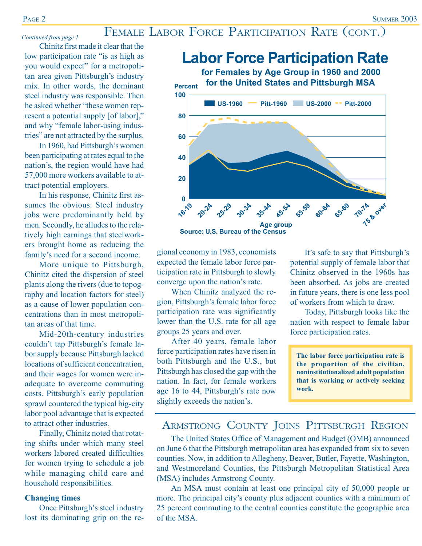## FEMALE LABOR FORCE PARTICIPATION RATE (CONT.) *Continued from page 1*

Chinitz first made it clear that the low participation rate "is as high as you would expect" for a metropolitan area given Pittsburgh's industry mix. In other words, the dominant steel industry was responsible. Then he asked whether "these women represent a potential supply [of labor]," and why "female labor-using industries" are not attracted by the surplus.

In 1960, had Pittsburgh's women been participating at rates equal to the nation's, the region would have had 57,000 more workers available to attract potential employers.

In his response, Chinitz first assumes the obvious: Steel industry jobs were predominantly held by men. Secondly, he alludes to the relatively high earnings that steelworkers brought home as reducing the family's need for a second income.

More unique to Pittsburgh, Chinitz cited the dispersion of steel plants along the rivers (due to topography and location factors for steel) as a cause of lower population concentrations than in most metropolitan areas of that time.

Mid-20th-century industries couldn't tap Pittsburgh's female labor supply because Pittsburgh lacked locations of sufficient concentration, and their wages for women were inadequate to overcome commuting costs. Pittsburgh's early population sprawl countered the typical big-city labor pool advantage that is expected to attract other industries.

Finally, Chinitz noted that rotating shifts under which many steel workers labored created difficulties for women trying to schedule a job while managing child care and household responsibilities.

#### **Changing times**

Once Pittsburgh's steel industry lost its dominating grip on the re-

gional economy in 1983, economists expected the female labor force participation rate in Pittsburgh to slowly converge upon the nation's rate.

When Chinitz analyzed the region, Pittsburgh's female labor force participation rate was significantly lower than the U.S. rate for all age groups 25 years and over.

After 40 years, female labor force participation rates have risen in both Pittsburgh and the U.S., but Pittsburgh has closed the gap with the nation. In fact, for female workers age 16 to 44, Pittsburgh's rate now slightly exceeds the nation's.

It's safe to say that Pittsburgh's potential supply of female labor that Chinitz observed in the 1960s has been absorbed. As jobs are created in future years, there is one less pool of workers from which to draw.

Today, Pittsburgh looks like the nation with respect to female labor force participation rates.

**The labor force participation rate is the proportion of the civilian, noninstitutionalized adult population that is working or actively seeking work.**

### ARMSTRONG COUNTY JOINS PITTSBURGH REGION

The United States Office of Management and Budget (OMB) announced on June 6 that the Pittsburgh metropolitan area has expanded from six to seven counties. Now, in addition to Allegheny, Beaver, Butler, Fayette, Washington, and Westmoreland Counties, the Pittsburgh Metropolitan Statistical Area (MSA) includes Armstrong County.

An MSA must contain at least one principal city of 50,000 people or more. The principal city's county plus adjacent counties with a minimum of 25 percent commuting to the central counties constitute the geographic area of the MSA.

## **Labor Force Participation Rate**

**for Females by Age Group in 1960 and 2000 for the United States and Pittsburgh MSA**

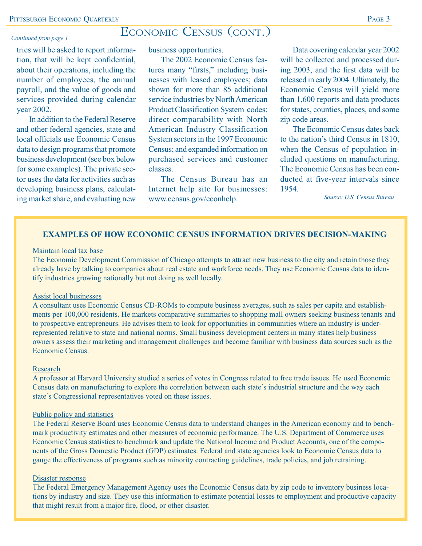### ECONOMIC CENSUS (CONT.)

#### *Continued from page 1*

tries will be asked to report information, that will be kept confidential, about their operations, including the number of employees, the annual payroll, and the value of goods and services provided during calendar year 2002.

In addition to the Federal Reserve and other federal agencies, state and local officials use Economic Census data to design programs that promote business development (see box below for some examples). The private sector uses the data for activities such as developing business plans, calculating market share, and evaluating new *www.census.gov/econhelp.* Source: U.S. Census Bureau

business opportunities.

The 2002 Economic Census features many "firsts," including businesses with leased employees; data shown for more than 85 additional service industries by North American Product Classification System codes; direct comparability with North American Industry Classification System sectors in the 1997 Economic Census; and expanded information on purchased services and customer classes.

The Census Bureau has an Internet help site for businesses: www.census.gov/econhelp.

Data covering calendar year 2002 will be collected and processed during 2003, and the first data will be released in early 2004. Ultimately, the Economic Census will yield more than 1,600 reports and data products for states, counties, places, and some zip code areas.

The Economic Census dates back to the nation's third Census in 1810, when the Census of population included questions on manufacturing. The Economic Census has been conducted at five-year intervals since 1954.

#### **EXAMPLES OF HOW ECONOMIC CENSUS INFORMATION DRIVES DECISION-MAKING**

#### Maintain local tax base

The Economic Development Commission of Chicago attempts to attract new business to the city and retain those they already have by talking to companies about real estate and workforce needs. They use Economic Census data to identify industries growing nationally but not doing as well locally.

#### Assist local businesses

A consultant uses Economic Census CD-ROMs to compute business averages, such as sales per capita and establishments per 100,000 residents. He markets comparative summaries to shopping mall owners seeking business tenants and to prospective entrepreneurs. He advises them to look for opportunities in communities where an industry is underrepresented relative to state and national norms. Small business development centers in many states help business owners assess their marketing and management challenges and become familiar with business data sources such as the Economic Census.

#### Research

A professor at Harvard University studied a series of votes in Congress related to free trade issues. He used Economic Census data on manufacturing to explore the correlation between each state's industrial structure and the way each state's Congressional representatives voted on these issues.

#### Public policy and statistics

The Federal Reserve Board uses Economic Census data to understand changes in the American economy and to benchmark productivity estimates and other measures of economic performance. The U.S. Department of Commerce uses Economic Census statistics to benchmark and update the National Income and Product Accounts, one of the components of the Gross Domestic Product (GDP) estimates. Federal and state agencies look to Economic Census data to gauge the effectiveness of programs such as minority contracting guidelines, trade policies, and job retraining.

#### Disaster response

The Federal Emergency Management Agency uses the Economic Census data by zip code to inventory business locations by industry and size. They use this information to estimate potential losses to employment and productive capacity that might result from a major fire, flood, or other disaster.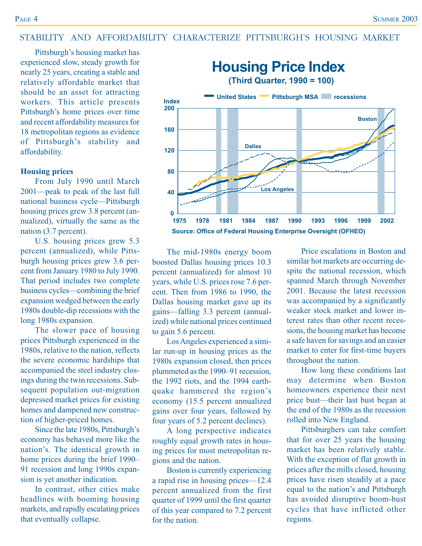#### STABILITY AND AFFORDABILITY CHARACTERIZE PITTSBURGH'S HOUSING MARKET

Pittsburgh's housing market has experienced slow, steady growth for nearly 25 years, creating a stable and relatively affordable market that should be an asset for attracting workers. This article presents Pittsburgh's home prices over time and recent affordability measures for 18 metropolitan regions as evidence of Pittsburgh's stability and affordability.

#### **Housing prices**

From July 1990 until March 2001—peak to peak of the last full national business cycle—Pittsburgh housing prices grew 3.8 percent (annualized), virtually the same as the nation (3.7 percent).

U.S. housing prices grew 5.3 percent (annualized), while Pittsburgh housing prices grew 3.6 percent from January 1980 to July 1990. That period includes two complete business cycles—combining the brief expansion wedged between the early 1980s double-dip recessions with the long 1980s expansion.

The slower pace of housing prices Pittsburgh experienced in the 1980s, relative to the nation, reflects the severe economic hardships that accompanied the steel industry closings during the twin recessions. Subsequent population out-migration depressed market prices for existing homes and dampened new construction of higher-priced homes.

Since the late 1980s, Pittsburgh's economy has behaved more like the nation's. The identical growth in home prices during the brief 1990– 91 recession and long 1990s expansion is yet another indication.

In contrast, other cities make headlines with booming housing markets, and rapidly escalating prices that eventually collapse.



The mid-1980s energy boom boosted Dallas housing prices 10.3 percent (annualized) for almost 10 years, while U.S. prices rose 7.6 percent. Then from 1986 to 1990, the Dallas housing market gave up its gains—falling 3.3 percent (annualized) while national prices continued to gain 5.6 percent.

Los Angeles experienced a similar run-up in housing prices as the 1980s expansion closed, then prices plummeted as the 1990–91 recession, the 1992 riots, and the 1994 earthquake hammered the region's economy (15.5 percent annualized gains over four years, followed by four years of 5.2 percent declines).

A long perspective indicates roughly equal growth rates in housing prices for most metropolitan regions and the nation.

Boston is currently experiencing a rapid rise in housing prices—12.4 percent annualized from the first quarter of 1999 until the first quarter of this year compared to 7.2 percent for the nation.

Price escalations in Boston and similar hot markets are occurring despite the national recession, which spanned March through November 2001. Because the latest recession was accompanied by a significantly weaker stock market and lower interest rates than other recent recessions, the housing market has become a safe haven for savings and an easier market to enter for first-time buyers throughout the nation.

How long these conditions last may determine when Boston homeowners experience their next price bust—their last bust began at the end of the 1980s as the recession rolled into New England.

Pittsburghers can take comfort that for over 25 years the housing market has been relatively stable. With the exception of flat growth in prices after the mills closed, housing prices have risen steadily at a pace equal to the nation's and Pittsburgh has avoided disruptive boom-bust cycles that have inflicted other regions.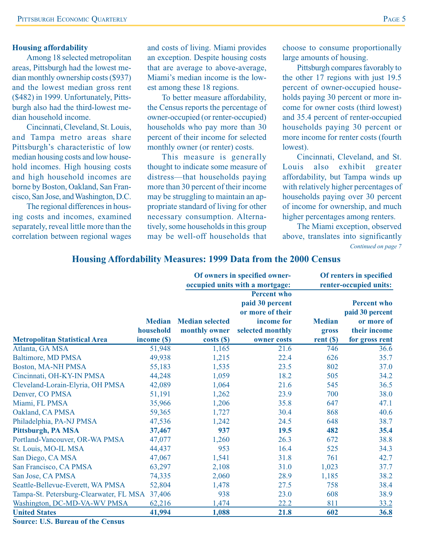#### **Housing affordability**

Among 18 selected metropolitan areas, Pittsburgh had the lowest median monthly ownership costs (\$937) and the lowest median gross rent (\$482) in 1999. Unfortunately, Pittsburgh also had the third-lowest median household income.

Cincinnati, Cleveland, St. Louis, and Tampa metro areas share Pittsburgh's characteristic of low median housing costs and low household incomes. High housing costs and high household incomes are borne by Boston, Oakland, San Francisco, San Jose, and Washington, D.C.

The regional differences in housing costs and incomes, examined separately, reveal little more than the correlation between regional wages and costs of living. Miami provides an exception. Despite housing costs that are average to above-average, Miami's median income is the lowest among these 18 regions.

To better measure affordability, the Census reports the percentage of owner-occupied (or renter-occupied) households who pay more than 30 percent of their income for selected monthly owner (or renter) costs.

This measure is generally thought to indicate some measure of distress—that households paying more than 30 percent of their income may be struggling to maintain an appropriate standard of living for other necessary consumption. Alternatively, some households in this group may be well-off households that

choose to consume proportionally large amounts of housing.

Pittsburgh compares favorably to the other 17 regions with just 19.5 percent of owner-occupied households paying 30 percent or more income for owner costs (third lowest) and 35.4 percent of renter-occupied households paying 30 percent or more income for renter costs (fourth lowest).

Cincinnati, Cleveland, and St. Louis also exhibit greater affordability, but Tampa winds up with relatively higher percentages of households paying over 30 percent of income for ownership, and much higher percentages among renters.

The Miami exception, observed above, translates into significantly *Continued on page 7*

|                                         |                                           | Of owners in specified owner-<br>occupied units with a mortgage: |                                                                                                            | Of renters in specified<br>renter-occupied units: |                                                                                       |
|-----------------------------------------|-------------------------------------------|------------------------------------------------------------------|------------------------------------------------------------------------------------------------------------|---------------------------------------------------|---------------------------------------------------------------------------------------|
| <b>Metropolitan Statistical Area</b>    | <b>Median</b><br>household<br>income (\$) | <b>Median selected</b><br>monthly owner<br>costs( <sub>s</sub> ) | <b>Percent who</b><br>paid 30 percent<br>or more of their<br>income for<br>selected monthly<br>owner costs | <b>Median</b><br>gross<br>rent(S)                 | <b>Percent who</b><br>paid 30 percent<br>or more of<br>their income<br>for gross rent |
| Atlanta, GA MSA                         | 51,948                                    | 1,165                                                            | 21.6                                                                                                       | 746                                               | 36.6                                                                                  |
| <b>Baltimore, MD PMSA</b>               | 49,938                                    | 1,215                                                            | 22.4                                                                                                       | 626                                               | 35.7                                                                                  |
| <b>Boston, MA-NH PMSA</b>               | 55,183                                    | 1,535                                                            | 23.5                                                                                                       | 802                                               | 37.0                                                                                  |
| Cincinnati, OH-KY-IN PMSA               | 44,248                                    | 1,059                                                            | 18.2                                                                                                       | 505                                               | 34.2                                                                                  |
| Cleveland-Lorain-Elyria, OH PMSA        | 42,089                                    | 1,064                                                            | 21.6                                                                                                       | 545                                               | 36.5                                                                                  |
| Denver, CO PMSA                         | 51,191                                    | 1,262                                                            | 23.9                                                                                                       | 700                                               | 38.0                                                                                  |
| Miami, FL PMSA                          | 35,966                                    | 1,206                                                            | 35.8                                                                                                       | 647                                               | 47.1                                                                                  |
| Oakland, CA PMSA                        | 59,365                                    | 1,727                                                            | 30.4                                                                                                       | 868                                               | 40.6                                                                                  |
| Philadelphia, PA-NJ PMSA                | 47,536                                    | 1,242                                                            | 24.5                                                                                                       | 648                                               | 38.7                                                                                  |
| Pittsburgh, PA MSA                      | 37,467                                    | 937                                                              | 19.5                                                                                                       | 482                                               | 35.4                                                                                  |
| Portland-Vancouver, OR-WA PMSA          | 47,077                                    | 1,260                                                            | 26.3                                                                                                       | 672                                               | 38.8                                                                                  |
| St. Louis, MO-IL MSA                    | 44,437                                    | 953                                                              | 16.4                                                                                                       | 525                                               | 34.3                                                                                  |
| San Diego, CA MSA                       | 47,067                                    | 1,541                                                            | 31.8                                                                                                       | 761                                               | 42.7                                                                                  |
| San Francisco, CA PMSA                  | 63,297                                    | 2,108                                                            | 31.0                                                                                                       | 1,023                                             | 37.7                                                                                  |
| San Jose, CA PMSA                       | 74,335                                    | 2,060                                                            | 28.9                                                                                                       | 1,185                                             | 38.2                                                                                  |
| Seattle-Bellevue-Everett, WA PMSA       | 52,804                                    | 1,478                                                            | 27.5                                                                                                       | 758                                               | 38.4                                                                                  |
| Tampa-St. Petersburg-Clearwater, FL MSA | 37,406                                    | 938                                                              | 23.0                                                                                                       | 608                                               | 38.9                                                                                  |
| Washington, DC-MD-VA-WV PMSA            | 62,216                                    | 1,474                                                            | 22.2                                                                                                       | 811                                               | 33.2                                                                                  |
| <b>United States</b>                    | 41,994                                    | 1,088                                                            | 21.8                                                                                                       | 602                                               | 36.8                                                                                  |

#### **Housing Affordability Measures: 1999 Data from the 2000 Census**

**Source: U.S. Bureau of the Census**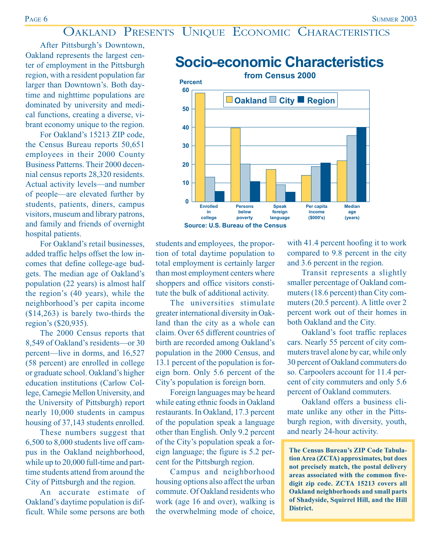## OAKLAND PRESENTS UNIQUE ECONOMIC CHARACTERISTICS

After Pittsburgh's Downtown, Oakland represents the largest center of employment in the Pittsburgh region, with a resident population far larger than Downtown's. Both daytime and nighttime populations are dominated by university and medical functions, creating a diverse, vibrant economy unique to the region.

For Oakland's 15213 ZIP code, the Census Bureau reports 50,651 employees in their 2000 County Business Patterns. Their 2000 decennial census reports 28,320 residents. Actual activity levels—and number of people—are elevated further by students, patients, diners, campus visitors, museum and library patrons, and family and friends of overnight hospital patients.

For Oakland's retail businesses, added traffic helps offset the low incomes that define college-age budgets. The median age of Oakland's population (22 years) is almost half the region's (40 years), while the neighborhood's per capita income (\$14,263) is barely two-thirds the region's (\$20,935).

The 2000 Census reports that 8,549 of Oakland's residents—or 30 percent—live in dorms, and 16,527 (58 percent) are enrolled in college or graduate school. Oakland's higher education institutions (Carlow College, Carnegie Mellon University, and the University of Pittsburgh) report nearly 10,000 students in campus housing of 37,143 students enrolled.

These numbers suggest that 6,500 to 8,000 students live off campus in the Oakland neighborhood, while up to 20,000 full-time and parttime students attend from around the City of Pittsburgh and the region.

An accurate estimate of Oakland's daytime population is difficult. While some persons are both

students and employees, the proportion of total daytime population to total employment is certainly larger than most employment centers where shoppers and office visitors constitute the bulk of additional activity.

**Enrolled in college**

**0**

**Persons below poverty**

**Source: U.S. Bureau of the Census**

The universities stimulate greater international diversity in Oakland than the city as a whole can claim. Over 65 different countries of birth are recorded among Oakland's population in the 2000 Census, and 13.1 percent of the population is foreign born. Only 5.6 percent of the City's population is foreign born.

Foreign languages may be heard while eating ethnic foods in Oakland restaurants. In Oakland, 17.3 percent of the population speak a language other than English. Only 9.2 percent of the City's population speak a foreign language; the figure is 5.2 percent for the Pittsburgh region.

Campus and neighborhood housing options also affect the urban commute. Of Oakland residents who work (age 16 and over), walking is the overwhelming mode of choice, with 41.4 percent hoofing it to work compared to 9.8 percent in the city and 3.6 percent in the region.

**Median age (years)**

Transit represents a slightly smaller percentage of Oakland commuters (18.6 percent) than City commuters (20.5 percent). A little over 2 percent work out of their homes in both Oakland and the City.

Oakland's foot traffic replaces cars. Nearly 55 percent of city commuters travel alone by car, while only 30 percent of Oakland commuters do so. Carpoolers account for 11.4 percent of city commuters and only 5.6 percent of Oakland commuters.

Oakland offers a business climate unlike any other in the Pittsburgh region, with diversity, youth, and nearly 24-hour activity.

**The Census Bureau's ZIP Code Tabulation Area (ZCTA) approximates, but does not precisely match, the postal delivery areas associated with the common fivedigit zip code. ZCTA 15213 covers all Oakland neighborhoods and small parts of Shadyside, Squirrel Hill, and the Hill District.**



**Speak foreign language** **Per capita income (\$000's)**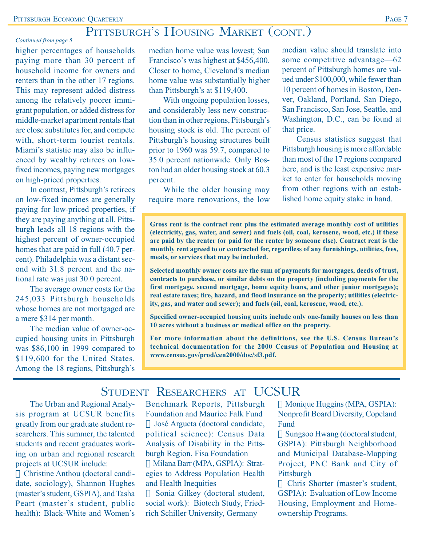## PITTSBURGH'S HOUSING MARKET (CONT.)

#### *Continued from page 5*

higher percentages of households paying more than 30 percent of household income for owners and renters than in the other 17 regions. This may represent added distress among the relatively poorer immigrant population, or added distress for middle-market apartment rentals that are close substitutes for, and compete with, short-term tourist rentals. Miami's statistic may also be influenced by wealthy retirees on lowfixed incomes, paying new mortgages on high-priced properties.

In contrast, Pittsburgh's retirees on low-fixed incomes are generally paying for low-priced properties, if they are paying anything at all. Pittsburgh leads all 18 regions with the highest percent of owner-occupied homes that are paid in full (40.7 percent). Philadelphia was a distant second with 31.8 percent and the national rate was just 30.0 percent.

The average owner costs for the 245,033 Pittsburgh households whose homes are not mortgaged are a mere \$314 per month.

The median value of owner-occupied housing units in Pittsburgh was \$86,100 in 1999 compared to \$119,600 for the United States. Among the 18 regions, Pittsburgh's median home value was lowest; San Francisco's was highest at \$456,400. Closer to home, Cleveland's median home value was substantially higher than Pittsburgh's at \$119,400.

With ongoing population losses, and considerably less new construction than in other regions, Pittsburgh's housing stock is old. The percent of Pittsburgh's housing structures built prior to 1960 was 59.7, compared to 35.0 percent nationwide. Only Boston had an older housing stock at 60.3 percent.

While the older housing may require more renovations, the low

median value should translate into some competitive advantage—62 percent of Pittsburgh homes are valued under \$100,000, while fewer than 10 percent of homes in Boston, Denver, Oakland, Portland, San Diego, San Francisco, San Jose, Seattle, and Washington, D.C., can be found at that price.

Census statistics suggest that Pittsburgh housing is more affordable than most of the 17 regions compared here, and is the least expensive market to enter for households moving from other regions with an established home equity stake in hand.

**Gross rent is the contract rent plus the estimated average monthly cost of utilities (electricity, gas, water, and sewer) and fuels (oil, coal, kerosene, wood, etc.) if these are paid by the renter (or paid for the renter by someone else). Contract rent is the monthly rent agreed to or contracted for, regardless of any furnishings, utilities, fees, meals, or services that may be included.**

**Selected monthly owner costs are the sum of payments for mortgages, deeds of trust, contracts to purchase, or similar debts on the property (including payments for the first mortgage, second mortgage, home equity loans, and other junior mortgages); real estate taxes; fire, hazard, and flood insurance on the property; utilities (electricity, gas, and water and sewer); and fuels (oil, coal, kerosene, wood, etc.).**

**Specified owner-occupied housing units include only one-family houses on less than 10 acres without a business or medical office on the property.**

**For more information about the definitions, see the U.S. Census Bureau's technical documentation for the 2000 Census of Population and Housing at www.census.gov/prod/cen2000/doc/sf3.pdf.**

## STUDENT RESEARCHERS AT UCSUR

The Urban and Regional Analysis program at UCSUR benefits greatly from our graduate student researchers. This summer, the talented students and recent graduates working on urban and regional research projects at UCSUR include:

Christine Anthou (doctoral candidate, sociology), Shannon Hughes (master's student, GSPIA), and Tasha Peart (master's student, public health): Black-White and Women's Benchmark Reports, Pittsburgh Foundation and Maurice Falk Fund

José Argueta (doctoral candidate, political science): Census Data Analysis of Disability in the Pittsburgh Region, Fisa Foundation

Milana Barr (MPA, GSPIA): Strategies to Address Population Health and Health Inequities

Sonia Gilkey (doctoral student, social work): Biotech Study, Friedrich Schiller University, Germany

Monique Huggins (MPA, GSPIA): Nonprofit Board Diversity, Copeland Fund

Sungsoo Hwang (doctoral student, GSPIA): Pittsburgh Neighborhood and Municipal Database-Mapping Project, PNC Bank and City of Pittsburgh

Chris Shorter (master's student, GSPIA): Evaluation of Low Income Housing, Employment and Homeownership Programs.